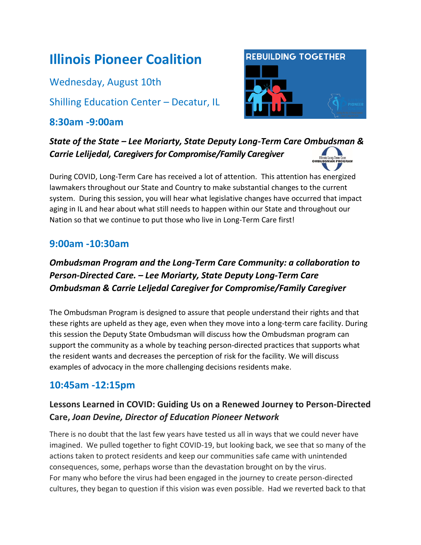# **Illinois Pioneer Coalition**

Wednesday, August 10th

Shilling Education Center – Decatur, IL

## **8:30am -9:00am**



*State of the State – Lee Moriarty, State Deputy Long-Term Care Ombudsman & Carrie Lelijedal, Caregivers for Compromise/Family Caregiver*

During COVID, Long-Term Care has received a lot of attention. This attention has energized lawmakers throughout our State and Country to make substantial changes to the current system. During this session, you will hear what legislative changes have occurred that impact aging in IL and hear about what still needs to happen within our State and throughout our Nation so that we continue to put those who live in Long-Term Care first!

## **9:00am -10:30am**

# *Ombudsman Program and the Long-Term Care Community: a collaboration to Person-Directed Care. – Lee Moriarty, State Deputy Long-Term Care Ombudsman & Carrie Leljedal Caregiver for Compromise/Family Caregiver*

The Ombudsman Program is designed to assure that people understand their rights and that these rights are upheld as they age, even when they move into a long-term care facility. During this session the Deputy State Ombudsman will discuss how the Ombudsman program can support the community as a whole by teaching person-directed practices that supports what the resident wants and decreases the perception of risk for the facility. We will discuss examples of advocacy in the more challenging decisions residents make.

## **10:45am -12:15pm**

## **Lessons Learned in COVID: Guiding Us on a Renewed Journey to Person-Directed Care,** *Joan Devine, Director of Education Pioneer Network*

There is no doubt that the last few years have tested us all in ways that we could never have imagined. We pulled together to fight COVID-19, but looking back, we see that so many of the actions taken to protect residents and keep our communities safe came with unintended consequences, some, perhaps worse than the devastation brought on by the virus. For many who before the virus had been engaged in the journey to create person-directed cultures, they began to question if this vision was even possible. Had we reverted back to that